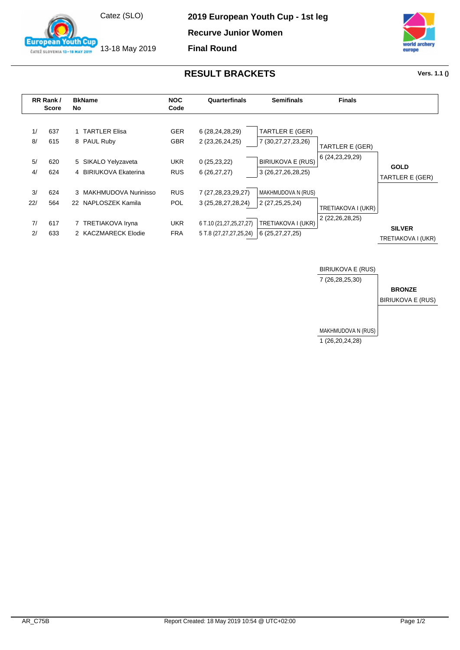

13-18 May 2019

**2019 European Youth Cup - 1st leg**

**Recurve Junior Women**

**Final Round**



## **RESULT BRACKETS Vers. 1.1 ()**

**RR Rank / Score Bk Name NOC No Code Quarterfinals Semifinals Finals** 1/ 637 1 TARTLER Elisa GER 6 (28,24,28,29) 8/ 615 8 PAUL Ruby GBR 2 (23,26,24,25) 5/ 620 5 SIKALO Yelyzaveta UKR 0 (25,23,22) 4/ 624 4 BIRIUKOVA Ekaterina RUS 6 (26,27,27) 3/ 624 3 MAKHMUDOVA Nurinisso RUS 7 (27,28,23,29,27) 22/ 564 22 NAPLOSZEK Kamila POL 3 (25,28,27,28,24) 7/ 617 7 TRETIAKOVA Iryna UKR 6 T.10 (21,27,25,27,27) 2/ 633 2 KACZMARECK Elodie FRA TARTLER E (GER) 7 (30,27,27,23,26) BIRIUKOVA E (RUS) 3 (26,27,26,28,25) MAKHMUDOVA N (RUS) 2 (27,25,25,24) TRETIAKOVA I (UKR) 6 (25,27,27,25) TARTLER E (GER) 6 (24,23,29,29) TRETIAKOVA I (UKR) 2 (22,26,28,25) **GOLD** TARTLER E (GER) **SILVER** TRETIAKOVA I (UKR)



ČATEŽ SLOVENIA 13-18 MAY 2019

Cun

**European**